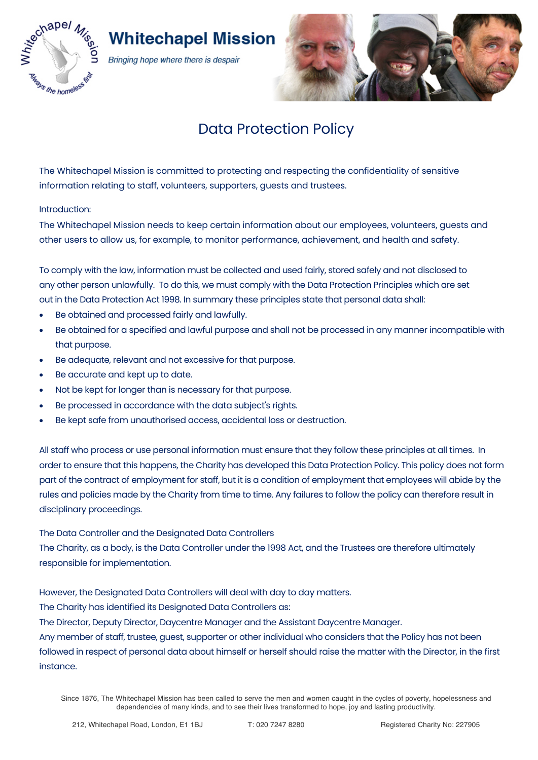

# **Whitechapel Mission**

Bringing hope where there is despair



# Data Protection Policy

The Whitechapel Mission is committed to protecting and respecting the confidentiality of sensitive information relating to staff, volunteers, supporters, guests and trustees.

Introduction:

The Whitechapel Mission needs to keep certain information about our employees, volunteers, guests and other users to allow us, for example, to monitor performance, achievement, and health and safety.

To comply with the law, information must be collected and used fairly, stored safely and not disclosed to any other person unlawfully. To do this, we must comply with the Data Protection Principles which are set out in the Data Protection Act 1998. In summary these principles state that personal data shall:

- Be obtained and processed fairly and lawfully.
- Be obtained for a specified and lawful purpose and shall not be processed in any manner incompatible with that purpose.
- Be adequate, relevant and not excessive for that purpose.
- Be accurate and kept up to date.
- Not be kept for longer than is necessary for that purpose.
- Be processed in accordance with the data subject's rights.
- Be kept safe from unauthorised access, accidental loss or destruction.

All staff who process or use personal information must ensure that they follow these principles at all times. In order to ensure that this happens, the Charity has developed this Data Protection Policy. This policy does not form part of the contract of employment for staff, but it is a condition of employment that employees will abide by the rules and policies made by the Charity from time to time. Any failures to follow the policy can therefore result in disciplinary proceedings.

The Data Controller and the Designated Data Controllers

The Charity, as a body, is the Data Controller under the 1998 Act, and the Trustees are therefore ultimately responsible for implementation.

However, the Designated Data Controllers will deal with day to day matters.

The Charity has identified its Designated Data Controllers as:

The Director, Deputy Director, Daycentre Manager and the Assistant Daycentre Manager.

Any member of staff, trustee, guest, supporter or other individual who considers that the Policy has not been followed in respect of personal data about himself or herself should raise the matter with the Director, in the first instance.

Since 1876, The Whitechapel Mission has been called to serve the men and women caught in the cycles of poverty, hopelessness and dependencies of many kinds, and to see their lives transformed to hope, joy and lasting productivity.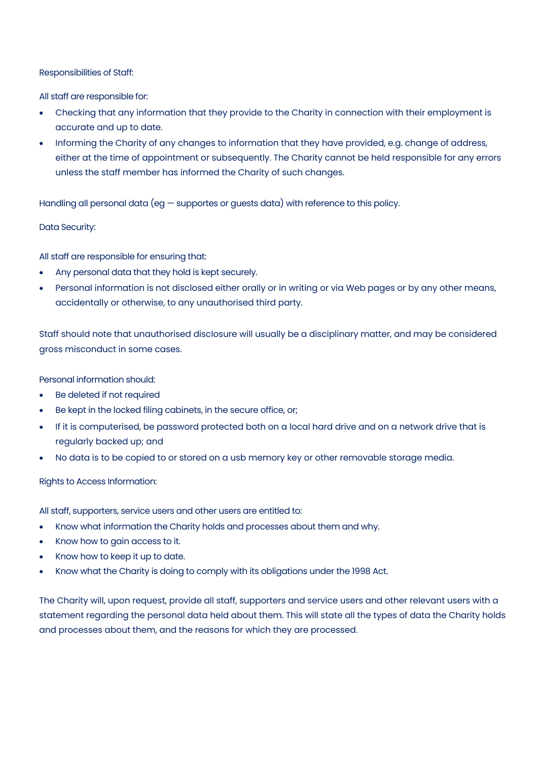## Responsibilities of Staff:

All staff are responsible for:

- Checking that any information that they provide to the Charity in connection with their employment is accurate and up to date.
- Informing the Charity of any changes to information that they have provided, e.g. change of address, either at the time of appointment or subsequently. The Charity cannot be held responsible for any errors unless the staff member has informed the Charity of such changes.

Handling all personal data (eg — supportes or guests data) with reference to this policy.

### Data Security:

All staff are responsible for ensuring that:

- Any personal data that they hold is kept securely.
- Personal information is not disclosed either orally or in writing or via Web pages or by any other means, accidentally or otherwise, to any unauthorised third party.

Staff should note that unauthorised disclosure will usually be a disciplinary matter, and may be considered gross misconduct in some cases.

Personal information should:

- Be deleted if not required
- Be kept in the locked filing cabinets, in the secure office, or;
- If it is computerised, be password protected both on a local hard drive and on a network drive that is regularly backed up; and
- No data is to be copied to or stored on a usb memory key or other removable storage media.

Rights to Access Information:

All staff, supporters, service users and other users are entitled to:

- Know what information the Charity holds and processes about them and why.
- Know how to gain access to it.
- Know how to keep it up to date.
- Know what the Charity is doing to comply with its obligations under the 1998 Act.

The Charity will, upon request, provide all staff, supporters and service users and other relevant users with a statement regarding the personal data held about them. This will state all the types of data the Charity holds and processes about them, and the reasons for which they are processed.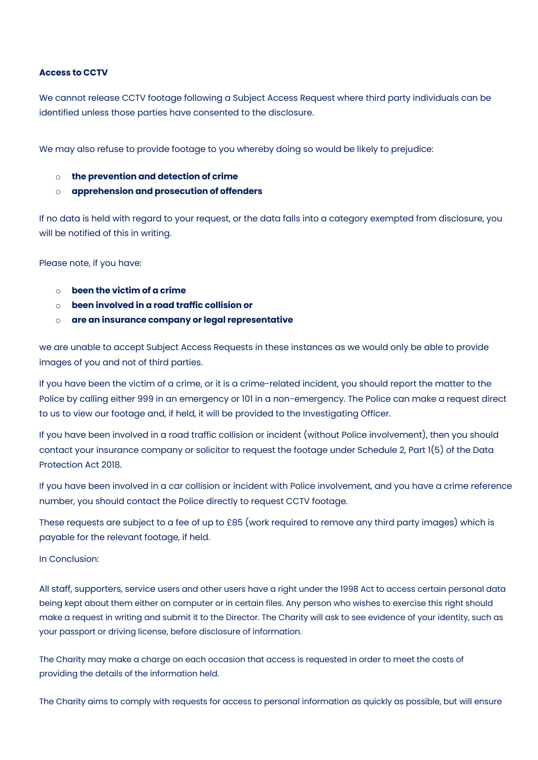### **Access to CCTV**

We cannot release CCTV footage following a Subject Access Request where third party individuals can be identified unless those parties have consented to the disclosure.

We may also refuse to provide footage to you whereby doing so would be likely to prejudice:

- o **the prevention and detection of crime**
- o **apprehension and prosecution of offenders**

If no data is held with regard to your request, or the data falls into a category exempted from disclosure, you will be notified of this in writing.

Please note, if you have:

- o **been the victim of a crime**
- o **been involved in a road traffic collision or**
- o **are an insurance company or legal representative**

we are unable to accept Subject Access Requests in these instances as we would only be able to provide images of you and not of third parties.

If you have been the victim of a crime, or it is a crime-related incident, you should report the matter to the Police by calling either 999 in an emergency or 101 in a non-emergency. The Police can make a request direct to us to view our footage and, if held, it will be provided to the Investigating Officer.

If you have been involved in a road traffic collision or incident (without Police involvement), then you should contact your insurance company or solicitor to request the footage under Schedule 2, Part 1(5) of the Data Protection Act 2018.

If you have been involved in a car collision or incident with Police involvement, and you have a crime reference number, you should contact the Police directly to request CCTV footage.

These requests are subject to a fee of up to £85 (work required to remove any third party images) which is payable for the relevant footage, if held.

In Conclusion:

All staff, supporters, service users and other users have a right under the 1998 Act to access certain personal data being kept about them either on computer or in certain files. Any person who wishes to exercise this right should make a request in writing and submit it to the Director. The Charity will ask to see evidence of your identity, such as your passport or driving license, before disclosure of information.

The Charity may make a charge on each occasion that access is requested in order to meet the costs of providing the details of the information held.

The Charity aims to comply with requests for access to personal information as quickly as possible, but will ensure